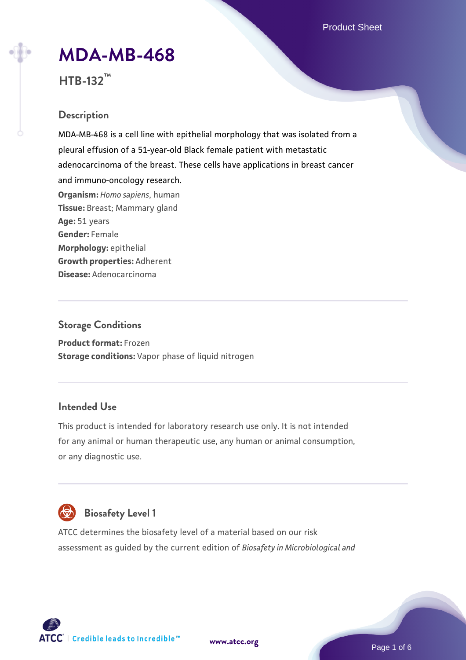# **[MDA-MB-468](https://www.atcc.org/products/htb-132)**

# **HTB-132™**

## **Description**

MDA-MB-468 is a cell line with epithelial morphology that was isolated from a pleural effusion of a 51-year-old Black female patient with metastatic adenocarcinoma of the breast. These cells have applications in breast cancer and immuno-oncology research. **Organism:** *Homo sapiens*, human **Tissue:** Breast; Mammary gland **Age:** 51 years **Gender:** Female **Morphology:** epithelial **Growth properties:** Adherent **Disease:** Adenocarcinoma

### **Storage Conditions**

**Product format:** Frozen **Storage conditions:** Vapor phase of liquid nitrogen

## **Intended Use**

This product is intended for laboratory research use only. It is not intended for any animal or human therapeutic use, any human or animal consumption, or any diagnostic use.



## **Biosafety Level 1**

ATCC determines the biosafety level of a material based on our risk assessment as guided by the current edition of *Biosafety in Microbiological and*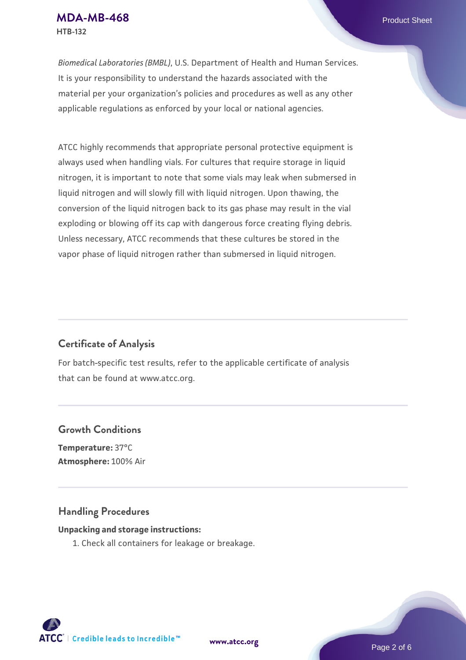*Biomedical Laboratories (BMBL)*, U.S. Department of Health and Human Services. It is your responsibility to understand the hazards associated with the material per your organization's policies and procedures as well as any other applicable regulations as enforced by your local or national agencies.

ATCC highly recommends that appropriate personal protective equipment is always used when handling vials. For cultures that require storage in liquid nitrogen, it is important to note that some vials may leak when submersed in liquid nitrogen and will slowly fill with liquid nitrogen. Upon thawing, the conversion of the liquid nitrogen back to its gas phase may result in the vial exploding or blowing off its cap with dangerous force creating flying debris. Unless necessary, ATCC recommends that these cultures be stored in the vapor phase of liquid nitrogen rather than submersed in liquid nitrogen.

## **Certificate of Analysis**

For batch-specific test results, refer to the applicable certificate of analysis that can be found at www.atcc.org.

## **Growth Conditions**

**Temperature:** 37°C **Atmosphere:** 100% Air

## **Handling Procedures**

#### **Unpacking and storage instructions:**

1. Check all containers for leakage or breakage.

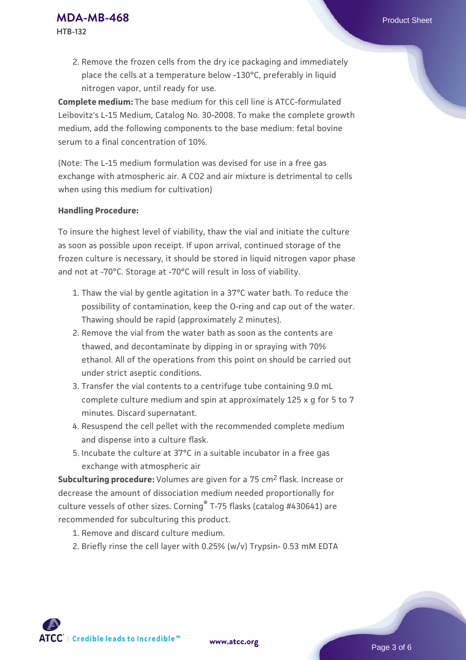2. Remove the frozen cells from the dry ice packaging and immediately place the cells at a temperature below -130°C, preferably in liquid nitrogen vapor, until ready for use.

**Complete medium:** The base medium for this cell line is ATCC-formulated Leibovitz's L-15 Medium, Catalog No. 30-2008. To make the complete growth medium, add the following components to the base medium: fetal bovine serum to a final concentration of 10%.

(Note: The L-15 medium formulation was devised for use in a free gas exchange with atmospheric air. A CO2 and air mixture is detrimental to cells when using this medium for cultivation)

#### **Handling Procedure:**

To insure the highest level of viability, thaw the vial and initiate the culture as soon as possible upon receipt. If upon arrival, continued storage of the frozen culture is necessary, it should be stored in liquid nitrogen vapor phase and not at -70°C. Storage at -70°C will result in loss of viability.

- 1. Thaw the vial by gentle agitation in a 37°C water bath. To reduce the possibility of contamination, keep the O-ring and cap out of the water. Thawing should be rapid (approximately 2 minutes).
- 2. Remove the vial from the water bath as soon as the contents are thawed, and decontaminate by dipping in or spraying with 70% ethanol. All of the operations from this point on should be carried out under strict aseptic conditions.
- 3. Transfer the vial contents to a centrifuge tube containing 9.0 mL complete culture medium and spin at approximately 125 x g for 5 to 7 minutes. Discard supernatant.
- 4. Resuspend the cell pellet with the recommended complete medium and dispense into a culture flask.
- 5. Incubate the culture at 37°C in a suitable incubator in a free gas exchange with atmospheric air

**Subculturing procedure:** Volumes are given for a 75 cm<sup>2</sup> flask. Increase or decrease the amount of dissociation medium needed proportionally for culture vessels of other sizes. Corning® T-75 flasks (catalog #430641) are recommended for subculturing this product.

- 1. Remove and discard culture medium.
- 2. Briefly rinse the cell layer with 0.25% (w/v) Trypsin- 0.53 mM EDTA

 $\mathsf{ATCC}^*$  | Credible leads to Incredible  $\mathbbm{M}$ 

**[www.atcc.org](http://www.atcc.org)**

Page 3 of 6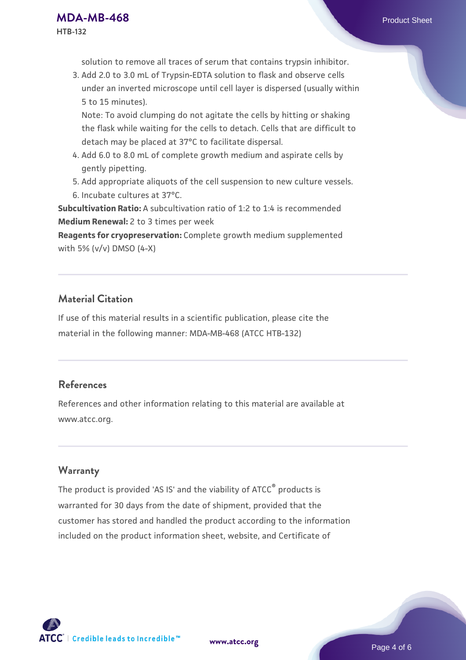solution to remove all traces of serum that contains trypsin inhibitor.

3. Add 2.0 to 3.0 mL of Trypsin-EDTA solution to flask and observe cells under an inverted microscope until cell layer is dispersed (usually within 5 to 15 minutes).

Note: To avoid clumping do not agitate the cells by hitting or shaking the flask while waiting for the cells to detach. Cells that are difficult to detach may be placed at 37°C to facilitate dispersal.

- Add 6.0 to 8.0 mL of complete growth medium and aspirate cells by 4. gently pipetting.
- 5. Add appropriate aliquots of the cell suspension to new culture vessels.
- 6. Incubate cultures at 37°C.

**Subcultivation Ratio:** A subcultivation ratio of 1:2 to 1:4 is recommended **Medium Renewal:** 2 to 3 times per week

**Reagents for cryopreservation:** Complete growth medium supplemented with 5% (v/v) DMSO (4-X)

## **Material Citation**

If use of this material results in a scientific publication, please cite the material in the following manner: MDA-MB-468 (ATCC HTB-132)

## **References**

References and other information relating to this material are available at www.atcc.org.

## **Warranty**

The product is provided 'AS IS' and the viability of ATCC® products is warranted for 30 days from the date of shipment, provided that the customer has stored and handled the product according to the information included on the product information sheet, website, and Certificate of



**[www.atcc.org](http://www.atcc.org)**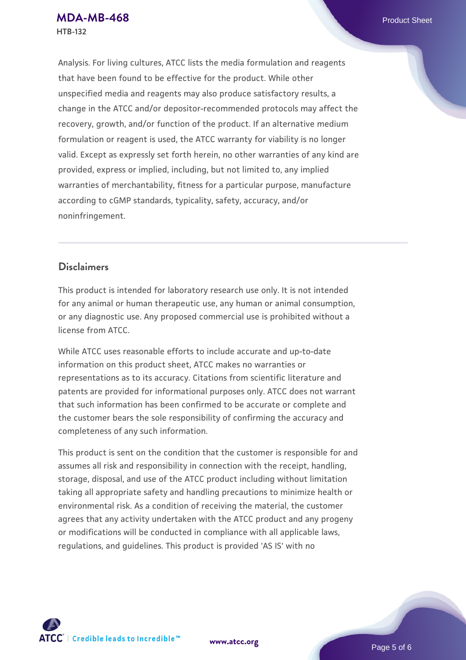Analysis. For living cultures, ATCC lists the media formulation and reagents that have been found to be effective for the product. While other unspecified media and reagents may also produce satisfactory results, a change in the ATCC and/or depositor-recommended protocols may affect the recovery, growth, and/or function of the product. If an alternative medium formulation or reagent is used, the ATCC warranty for viability is no longer valid. Except as expressly set forth herein, no other warranties of any kind are provided, express or implied, including, but not limited to, any implied warranties of merchantability, fitness for a particular purpose, manufacture according to cGMP standards, typicality, safety, accuracy, and/or noninfringement.

## **Disclaimers**

This product is intended for laboratory research use only. It is not intended for any animal or human therapeutic use, any human or animal consumption, or any diagnostic use. Any proposed commercial use is prohibited without a license from ATCC.

While ATCC uses reasonable efforts to include accurate and up-to-date information on this product sheet, ATCC makes no warranties or representations as to its accuracy. Citations from scientific literature and patents are provided for informational purposes only. ATCC does not warrant that such information has been confirmed to be accurate or complete and the customer bears the sole responsibility of confirming the accuracy and completeness of any such information.

This product is sent on the condition that the customer is responsible for and assumes all risk and responsibility in connection with the receipt, handling, storage, disposal, and use of the ATCC product including without limitation taking all appropriate safety and handling precautions to minimize health or environmental risk. As a condition of receiving the material, the customer agrees that any activity undertaken with the ATCC product and any progeny or modifications will be conducted in compliance with all applicable laws, regulations, and guidelines. This product is provided 'AS IS' with no



**[www.atcc.org](http://www.atcc.org)**

Page 5 of 6